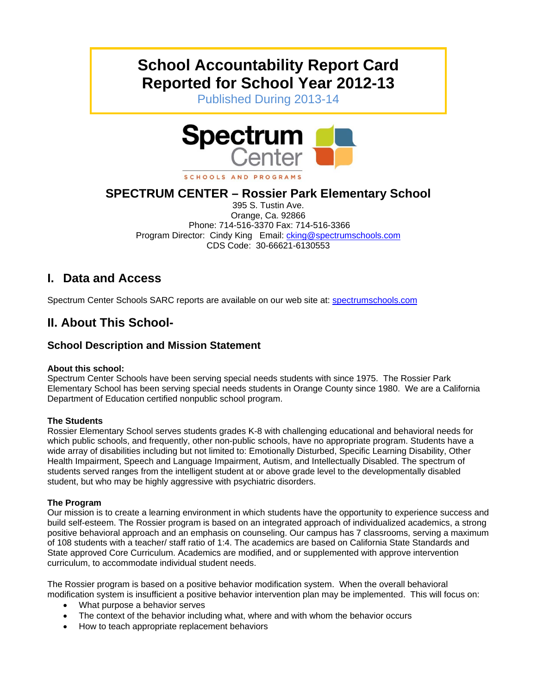# **School Accountability Report Card Reported for School Year 2012-13**

Published During 2013-14



SCHOOLS AND PROGRAMS

## **SPECTRUM CENTER – Rossier Park Elementary School**

395 S. Tustin Ave. Orange, Ca. 92866 Phone: 714-516-3370 Fax: 714-516-3366 Program Director: Cindy King Email: *cking@spectrumschools.com* CDS Code: 30-66621-6130553

## **I. Data and Access**

Spectrum Center Schools SARC reports are available on our web site at: spectrumschools.com

## **II. About This School-**

### **School Description and Mission Statement**

#### **About this school:**

Spectrum Center Schools have been serving special needs students with since 1975. The Rossier Park Elementary School has been serving special needs students in Orange County since 1980. We are a California Department of Education certified nonpublic school program.

#### **The Students**

Rossier Elementary School serves students grades K-8 with challenging educational and behavioral needs for which public schools, and frequently, other non-public schools, have no appropriate program. Students have a wide array of disabilities including but not limited to: Emotionally Disturbed, Specific Learning Disability, Other Health Impairment, Speech and Language Impairment, Autism, and Intellectually Disabled. The spectrum of students served ranges from the intelligent student at or above grade level to the developmentally disabled student, but who may be highly aggressive with psychiatric disorders.

#### **The Program**

Our mission is to create a learning environment in which students have the opportunity to experience success and build self-esteem. The Rossier program is based on an integrated approach of individualized academics, a strong positive behavioral approach and an emphasis on counseling. Our campus has 7 classrooms, serving a maximum of 108 students with a teacher/ staff ratio of 1:4. The academics are based on California State Standards and State approved Core Curriculum. Academics are modified, and or supplemented with approve intervention curriculum, to accommodate individual student needs.

The Rossier program is based on a positive behavior modification system. When the overall behavioral modification system is insufficient a positive behavior intervention plan may be implemented. This will focus on:

- What purpose a behavior serves
- The context of the behavior including what, where and with whom the behavior occurs
- How to teach appropriate replacement behaviors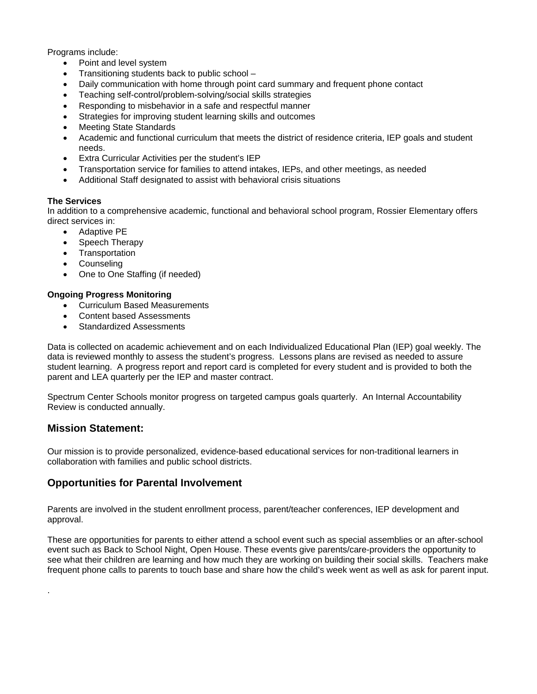Programs include:

- Point and level system
- Transitioning students back to public school –
- Daily communication with home through point card summary and frequent phone contact
- Teaching self-control/problem-solving/social skills strategies
- Responding to misbehavior in a safe and respectful manner
- Strategies for improving student learning skills and outcomes
- Meeting State Standards
- Academic and functional curriculum that meets the district of residence criteria, IEP goals and student needs.
- Extra Curricular Activities per the student's IEP
- Transportation service for families to attend intakes, IEPs, and other meetings, as needed
- Additional Staff designated to assist with behavioral crisis situations

#### **The Services**

In addition to a comprehensive academic, functional and behavioral school program, Rossier Elementary offers direct services in:

- Adaptive PE
- Speech Therapy
- Transportation
- Counseling
- One to One Staffing (if needed)

#### **Ongoing Progress Monitoring**

- Curriculum Based Measurements
- Content based Assessments
- Standardized Assessments

Data is collected on academic achievement and on each Individualized Educational Plan (IEP) goal weekly. The data is reviewed monthly to assess the student's progress. Lessons plans are revised as needed to assure student learning. A progress report and report card is completed for every student and is provided to both the parent and LEA quarterly per the IEP and master contract.

Spectrum Center Schools monitor progress on targeted campus goals quarterly. An Internal Accountability Review is conducted annually.

#### **Mission Statement:**

.

Our mission is to provide personalized, evidence-based educational services for non-traditional learners in collaboration with families and public school districts.

### **Opportunities for Parental Involvement**

Parents are involved in the student enrollment process, parent/teacher conferences, IEP development and approval.

These are opportunities for parents to either attend a school event such as special assemblies or an after-school event such as Back to School Night, Open House. These events give parents/care-providers the opportunity to see what their children are learning and how much they are working on building their social skills. Teachers make frequent phone calls to parents to touch base and share how the child's week went as well as ask for parent input.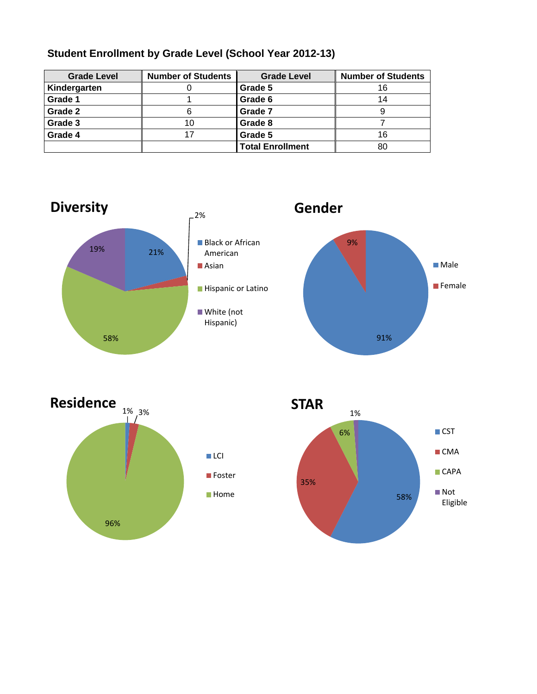| <b>Grade Level</b> | <b>Number of Students</b> | <b>Grade Level</b>      | <b>Number of Students</b> |
|--------------------|---------------------------|-------------------------|---------------------------|
| Kindergarten       |                           | Grade 5                 | 16                        |
| Grade 1            |                           | Grade 6                 | 14                        |
| Grade 2            | 6                         | Grade 7                 |                           |
| Grade 3            | 10                        | Grade 8                 |                           |
| Grade 4            | 17                        | Grade 5                 | 16                        |
|                    |                           | <b>Total Enrollment</b> | 80                        |

### **Student Enrollment by Grade Level (School Year 2012-13)**





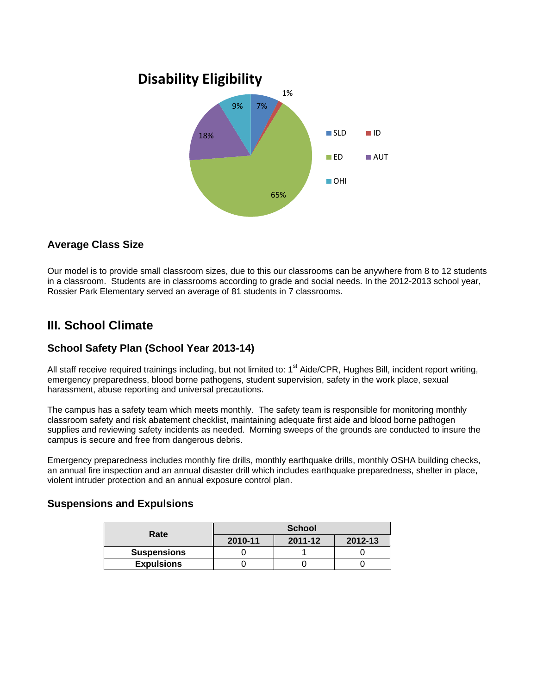

### **Average Class Size**

Our model is to provide small classroom sizes, due to this our classrooms can be anywhere from 8 to 12 students in a classroom. Students are in classrooms according to grade and social needs. In the 2012-2013 school year, Rossier Park Elementary served an average of 81 students in 7 classrooms.

## **III. School Climate**

### **School Safety Plan (School Year 2013-14)**

All staff receive required trainings including, but not limited to: 1<sup>st</sup> Aide/CPR, Hughes Bill, incident report writing, emergency preparedness, blood borne pathogens, student supervision, safety in the work place, sexual harassment, abuse reporting and universal precautions.

The campus has a safety team which meets monthly. The safety team is responsible for monitoring monthly classroom safety and risk abatement checklist, maintaining adequate first aide and blood borne pathogen supplies and reviewing safety incidents as needed. Morning sweeps of the grounds are conducted to insure the campus is secure and free from dangerous debris.

Emergency preparedness includes monthly fire drills, monthly earthquake drills, monthly OSHA building checks, an annual fire inspection and an annual disaster drill which includes earthquake preparedness, shelter in place, violent intruder protection and an annual exposure control plan.

### **Suspensions and Expulsions**

| Rate               | <b>School</b> |         |         |  |
|--------------------|---------------|---------|---------|--|
|                    | 2010-11       | 2011-12 | 2012-13 |  |
| <b>Suspensions</b> |               |         |         |  |
| <b>Expulsions</b>  |               |         |         |  |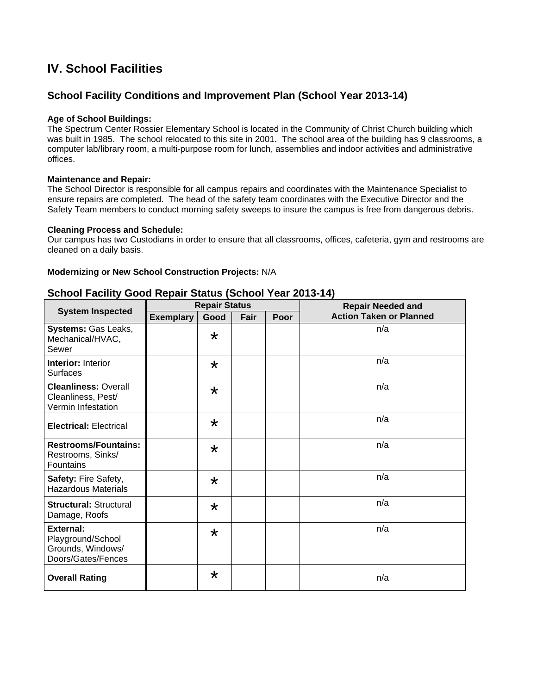## **IV. School Facilities**

### **School Facility Conditions and Improvement Plan (School Year 2013-14)**

#### **Age of School Buildings:**

The Spectrum Center Rossier Elementary School is located in the Community of Christ Church building which was built in 1985. The school relocated to this site in 2001. The school area of the building has 9 classrooms, a computer lab/library room, a multi-purpose room for lunch, assemblies and indoor activities and administrative offices.

#### **Maintenance and Repair:**

The School Director is responsible for all campus repairs and coordinates with the Maintenance Specialist to ensure repairs are completed. The head of the safety team coordinates with the Executive Director and the Safety Team members to conduct morning safety sweeps to insure the campus is free from dangerous debris.

#### **Cleaning Process and Schedule:**

Our campus has two Custodians in order to ensure that all classrooms, offices, cafeteria, gym and restrooms are cleaned on a daily basis.

#### **Modernizing or New School Construction Projects:** N/A

#### **School Facility Good Repair Status (School Year 2013-14)**

|                                                                                  | <b>Repair Status</b> |         |      |      | <b>Repair Needed and</b>       |  |
|----------------------------------------------------------------------------------|----------------------|---------|------|------|--------------------------------|--|
| <b>System Inspected</b>                                                          | <b>Exemplary</b>     | Good    | Fair | Poor | <b>Action Taken or Planned</b> |  |
| Systems: Gas Leaks,<br>Mechanical/HVAC,<br>Sewer                                 |                      | $\star$ |      |      | n/a                            |  |
| <b>Interior: Interior</b><br><b>Surfaces</b>                                     |                      | $\star$ |      |      | n/a                            |  |
| <b>Cleanliness: Overall</b><br>Cleanliness, Pest/<br>Vermin Infestation          |                      | $\star$ |      |      | n/a                            |  |
| <b>Electrical: Electrical</b>                                                    |                      | $\star$ |      |      | n/a                            |  |
| <b>Restrooms/Fountains:</b><br>Restrooms, Sinks/<br>Fountains                    |                      | $\star$ |      |      | n/a                            |  |
| Safety: Fire Safety,<br><b>Hazardous Materials</b>                               |                      | $\star$ |      |      | n/a                            |  |
| <b>Structural: Structural</b><br>Damage, Roofs                                   |                      | $\star$ |      |      | n/a                            |  |
| <b>External:</b><br>Playground/School<br>Grounds, Windows/<br>Doors/Gates/Fences |                      | $\star$ |      |      | n/a                            |  |
| <b>Overall Rating</b>                                                            |                      | $\star$ |      |      | n/a                            |  |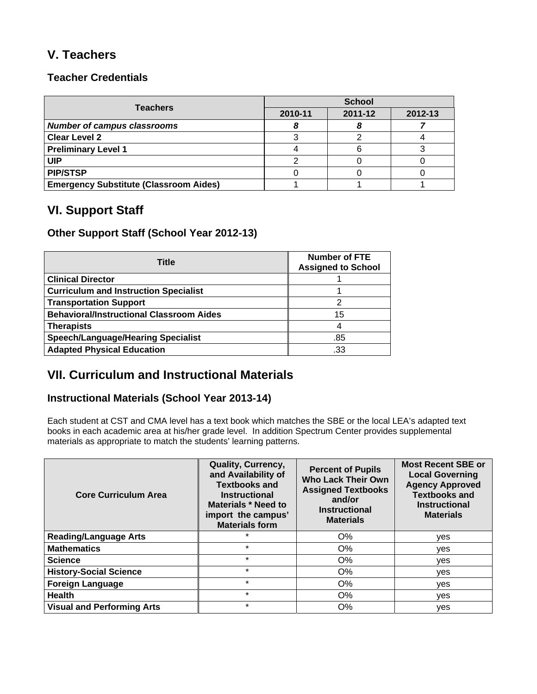## **V. Teachers**

### **Teacher Credentials**

| <b>Teachers</b>                               | <b>School</b> |         |         |  |
|-----------------------------------------------|---------------|---------|---------|--|
|                                               | 2010-11       | 2011-12 | 2012-13 |  |
| <b>Number of campus classrooms</b>            |               |         |         |  |
| <b>Clear Level 2</b>                          |               |         |         |  |
| <b>Preliminary Level 1</b>                    |               |         |         |  |
| UIP                                           |               |         |         |  |
| <b>PIP/STSP</b>                               |               |         |         |  |
| <b>Emergency Substitute (Classroom Aides)</b> |               |         |         |  |

## **VI. Support Staff**

### **Other Support Staff (School Year 2012-13)**

| Title                                           | <b>Number of FTE</b><br><b>Assigned to School</b> |
|-------------------------------------------------|---------------------------------------------------|
| <b>Clinical Director</b>                        |                                                   |
| <b>Curriculum and Instruction Specialist</b>    |                                                   |
| <b>Transportation Support</b>                   | 2                                                 |
| <b>Behavioral/Instructional Classroom Aides</b> | 15                                                |
| <b>Therapists</b>                               | 4                                                 |
| <b>Speech/Language/Hearing Specialist</b>       | .85                                               |
| <b>Adapted Physical Education</b>               | .33                                               |

## **VII. Curriculum and Instructional Materials**

### **Instructional Materials (School Year 2013-14)**

Each student at CST and CMA level has a text book which matches the SBE or the local LEA's adapted text books in each academic area at his/her grade level. In addition Spectrum Center provides supplemental materials as appropriate to match the students' learning patterns.

| <b>Core Curriculum Area</b>       | Quality, Currency,<br>and Availability of<br><b>Textbooks and</b><br><b>Instructional</b><br>Materials * Need to<br>import the campus'<br><b>Materials form</b> | <b>Percent of Pupils</b><br><b>Who Lack Their Own</b><br><b>Assigned Textbooks</b><br>and/or<br><b>Instructional</b><br><b>Materials</b> | <b>Most Recent SBE or</b><br><b>Local Governing</b><br><b>Agency Approved</b><br><b>Textbooks and</b><br><b>Instructional</b><br><b>Materials</b> |
|-----------------------------------|-----------------------------------------------------------------------------------------------------------------------------------------------------------------|------------------------------------------------------------------------------------------------------------------------------------------|---------------------------------------------------------------------------------------------------------------------------------------------------|
| <b>Reading/Language Arts</b>      | $\star$                                                                                                                                                         | O%                                                                                                                                       | ves                                                                                                                                               |
| <b>Mathematics</b>                | $\star$                                                                                                                                                         | $O\%$                                                                                                                                    | ves                                                                                                                                               |
| <b>Science</b>                    | $\star$                                                                                                                                                         | $O\%$                                                                                                                                    | yes                                                                                                                                               |
| <b>History-Social Science</b>     | $\star$                                                                                                                                                         | $O\%$                                                                                                                                    | yes                                                                                                                                               |
| <b>Foreign Language</b>           | $\star$                                                                                                                                                         | $O\%$                                                                                                                                    | ves                                                                                                                                               |
| <b>Health</b>                     | $\star$                                                                                                                                                         | O%                                                                                                                                       | yes                                                                                                                                               |
| <b>Visual and Performing Arts</b> | $\star$                                                                                                                                                         | $O\%$                                                                                                                                    | yes                                                                                                                                               |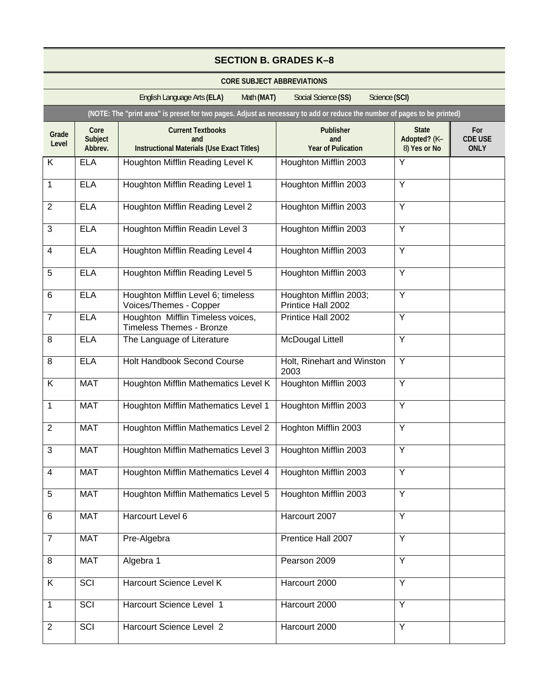|                | <b>SECTION B. GRADES K-8</b> |                                                                                                                          |                                                      |                                              |                                      |
|----------------|------------------------------|--------------------------------------------------------------------------------------------------------------------------|------------------------------------------------------|----------------------------------------------|--------------------------------------|
|                |                              | <b>CORE SUBJECT ABBREVIATIONS</b>                                                                                        |                                                      |                                              |                                      |
|                |                              | English Language Arts (ELA)<br>Math (MAT)                                                                                | Social Science (SS)<br>Science (SCI)                 |                                              |                                      |
|                |                              | (NOTE: The "print area" is preset for two pages. Adjust as necessary to add or reduce the number of pages to be printed) |                                                      |                                              |                                      |
| Grade<br>Level | Core<br>Subject<br>Abbrev.   | <b>Current Textbooks</b><br>and<br><b>Instructional Materials (Use Exact Titles)</b>                                     | <b>Publisher</b><br>and<br><b>Year of Pulication</b> | <b>State</b><br>Adopted? (K-<br>8) Yes or No | For<br><b>CDE USE</b><br><b>ONLY</b> |
| K              | <b>ELA</b>                   | Houghton Mifflin Reading Level K                                                                                         | Houghton Mifflin 2003                                | Y                                            |                                      |
| $\mathbf{1}$   | <b>ELA</b>                   | Houghton Mifflin Reading Level 1                                                                                         | Houghton Mifflin 2003                                | Y                                            |                                      |
| $\overline{2}$ | <b>ELA</b>                   | Houghton Mifflin Reading Level 2                                                                                         | Houghton Mifflin 2003                                | Y                                            |                                      |
| 3              | <b>ELA</b>                   | Houghton Mifflin Readin Level 3                                                                                          | Houghton Mifflin 2003                                | Y                                            |                                      |
| $\overline{4}$ | <b>ELA</b>                   | Houghton Mifflin Reading Level 4                                                                                         | Houghton Mifflin 2003                                | Y                                            |                                      |
| 5              | <b>ELA</b>                   | Houghton Mifflin Reading Level 5                                                                                         | Houghton Mifflin 2003                                | $\overline{Y}$                               |                                      |
| 6              | <b>ELA</b>                   | Houghton Mifflin Level 6; timeless<br>Voices/Themes - Copper                                                             | Houghton Mifflin 2003;<br>Printice Hall 2002         | $\overline{Y}$                               |                                      |
| $\overline{7}$ | <b>ELA</b>                   | Houghton Mifflin Timeless voices,<br><b>Timeless Themes - Bronze</b>                                                     | Printice Hall 2002                                   | Y                                            |                                      |
| 8              | <b>ELA</b>                   | The Language of Literature                                                                                               | <b>McDougal Littell</b>                              | Y                                            |                                      |
| 8              | <b>ELA</b>                   | <b>Holt Handbook Second Course</b>                                                                                       | Holt, Rinehart and Winston<br>2003                   | Y                                            |                                      |
| K              | <b>MAT</b>                   | Houghton Mifflin Mathematics Level K                                                                                     | Houghton Mifflin 2003                                | $\overline{Y}$                               |                                      |
| $\mathbf{1}$   | <b>MAT</b>                   | Houghton Mifflin Mathematics Level 1                                                                                     | Houghton Mifflin 2003                                | Y                                            |                                      |
| $\overline{2}$ | <b>MAT</b>                   | Houghton Mifflin Mathematics Level 2                                                                                     | Hoghton Mifflin 2003                                 | Y                                            |                                      |
| 3              | <b>MAT</b>                   | Houghton Mifflin Mathematics Level 3                                                                                     | Houghton Mifflin 2003                                | Y                                            |                                      |
| 4              | <b>MAT</b>                   | Houghton Mifflin Mathematics Level 4                                                                                     | Houghton Mifflin 2003                                | $\overline{Y}$                               |                                      |
| 5              | <b>MAT</b>                   | Houghton Mifflin Mathematics Level 5                                                                                     | Houghton Mifflin 2003                                | Y                                            |                                      |
| 6              | <b>MAT</b>                   | Harcourt Level 6                                                                                                         | Harcourt 2007                                        | Y                                            |                                      |
| $\overline{7}$ | <b>MAT</b>                   | Pre-Algebra                                                                                                              | Prentice Hall 2007                                   | Y                                            |                                      |
| 8              | <b>MAT</b>                   | Algebra 1                                                                                                                | Pearson 2009                                         | $\overline{Y}$                               |                                      |
| K              | <b>SCI</b>                   | Harcourt Science Level K                                                                                                 | Harcourt 2000                                        | Y                                            |                                      |
| $\mathbf{1}$   | $\overline{SCI}$             | Harcourt Science Level 1                                                                                                 | Harcourt 2000                                        | $\overline{Y}$                               |                                      |
| $\overline{2}$ | SCI                          | Harcourt Science Level 2                                                                                                 | Harcourt 2000                                        | Y                                            |                                      |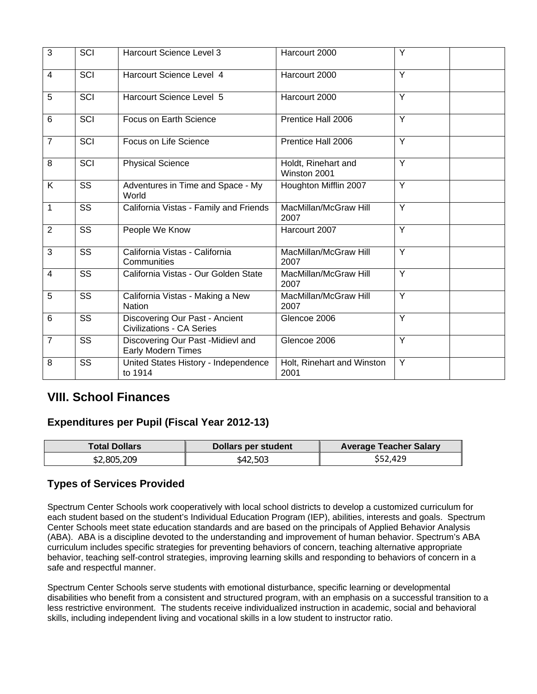| 3              | SCI                    | Harcourt Science Level 3                                           | Harcourt 2000                       | Y              |  |
|----------------|------------------------|--------------------------------------------------------------------|-------------------------------------|----------------|--|
| $\overline{4}$ | SCI                    | Harcourt Science Level 4                                           | Harcourt 2000                       | Y              |  |
| 5              | SCI                    | Harcourt Science Level 5                                           | Harcourt 2000                       | Y              |  |
| 6              | SCI                    | Focus on Earth Science                                             | Prentice Hall 2006                  | Y              |  |
| $\overline{7}$ | SCI                    | Focus on Life Science                                              | Prentice Hall 2006                  | Y              |  |
| 8              | SCI                    | <b>Physical Science</b>                                            | Holdt, Rinehart and<br>Winston 2001 | Y              |  |
| K              | SS                     | Adventures in Time and Space - My<br>World                         | Houghton Mifflin 2007               | Y              |  |
| 1              | SS                     | California Vistas - Family and Friends                             | MacMillan/McGraw Hill<br>2007       | Y              |  |
| $\overline{2}$ | SS                     | People We Know                                                     | Harcourt 2007                       | Y              |  |
| 3              | SS                     | California Vistas - California<br>Communities                      | MacMillan/McGraw Hill<br>2007       | Y              |  |
| $\overline{4}$ | $\overline{\text{SS}}$ | California Vistas - Our Golden State                               | MacMillan/McGraw Hill<br>2007       | $\overline{Y}$ |  |
| 5              | SS                     | California Vistas - Making a New<br><b>Nation</b>                  | MacMillan/McGraw Hill<br>2007       | Y              |  |
| 6              | $\overline{\text{SS}}$ | Discovering Our Past - Ancient<br><b>Civilizations - CA Series</b> | Glencoe 2006                        | $\overline{Y}$ |  |
| $\overline{7}$ | SS                     | Discovering Our Past -Midievl and<br>Early Modern Times            | Glencoe 2006                        | Y              |  |
| 8              | SS                     | United States History - Independence<br>to 1914                    | Holt, Rinehart and Winston<br>2001  | Y              |  |

## **VIII. School Finances**

### **Expenditures per Pupil (Fiscal Year 2012-13)**

| <b>Total Dollars</b> | Dollars per student | <b>Average Teacher Salary</b> |
|----------------------|---------------------|-------------------------------|
| \$2,805,209          | \$42,503            | \$52,429                      |

### **Types of Services Provided**

Spectrum Center Schools work cooperatively with local school districts to develop a customized curriculum for each student based on the student's Individual Education Program (IEP), abilities, interests and goals. Spectrum Center Schools meet state education standards and are based on the principals of Applied Behavior Analysis (ABA). ABA is a discipline devoted to the understanding and improvement of human behavior. Spectrum's ABA curriculum includes specific strategies for preventing behaviors of concern, teaching alternative appropriate behavior, teaching self-control strategies, improving learning skills and responding to behaviors of concern in a safe and respectful manner.

Spectrum Center Schools serve students with emotional disturbance, specific learning or developmental disabilities who benefit from a consistent and structured program, with an emphasis on a successful transition to a less restrictive environment. The students receive individualized instruction in academic, social and behavioral skills, including independent living and vocational skills in a low student to instructor ratio.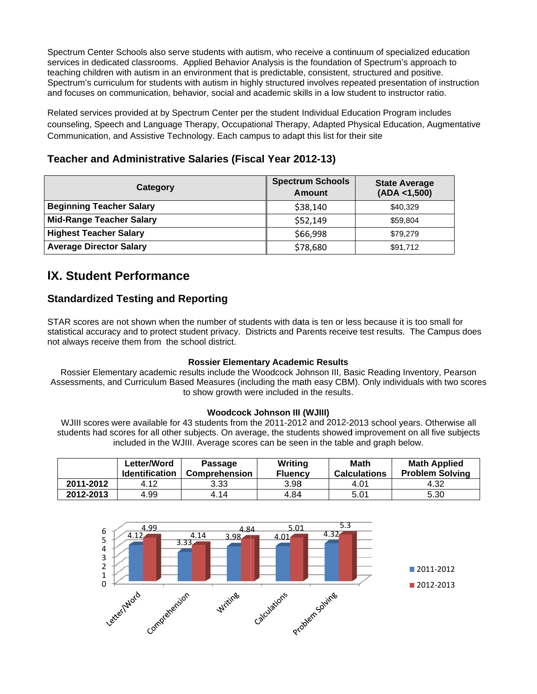Spectrum Center Schools also serve students with autism, who receive a continuum of specialized education services in dedicated classrooms. Applied Behavior Analysis is the foundation of Spectrum's approach to teaching children with autism in an environment that is predictable, consistent, structured and positive. Spectrum's curriculum for students with autism in highly structured involves repeated presentation of instruction and focuses on communication, behavior, social and academic skills in a low student to instructor ratio.

Related services provided at by Spectrum Center per the student Individual Education Program includes counseling, Speech and Language Therapy, Occupational Therapy, Adapted Physical Education, Augmentative Communication, and Assistive Technology. Each campus to adapt this list for their site

### Teacher and Administrative Salaries (Fiscal Year 2012-13)

| Category                        | <b>Spectrum Schools</b><br><b>Amount</b> | <b>State Average</b><br>(ADA < 1,500) |
|---------------------------------|------------------------------------------|---------------------------------------|
| <b>Beginning Teacher Salary</b> | \$38,140                                 | \$40,329                              |
| <b>Mid-Range Teacher Salary</b> | \$52,149                                 | \$59,804                              |
| <b>Highest Teacher Salary</b>   | \$66,998                                 | \$79,279                              |
| <b>Average Director Salary</b>  | \$78,680                                 | \$91,712                              |

## **IX. Student Performance**

### **Standardized Testing and Reporting**

STAR scores are not shown when the number of students with data is ten or less because it is too small for statistical accuracy and to protect student privacy. Districts and Parents receive test results. The Campus does not always receive them from the school district.

#### **Rossier Elementary Academic Results**

Rossier Elementary academic results include the Woodcock Johnson III, Basic Reading Inventory, Pearson Assessments, and Curriculum Based Measures (including the math easy CBM). Only individuals with two scores to show growth were included in the results.

#### **Woodcock Johnson III (WJIII)**

WJIII scores were available for 43 students from the 2011-2012 and 2012-2013 school years. Otherwise all students had scores for all other subjects. On average, the students showed improvement on all five subjects included in the WJIII. Average scores can be seen in the table and graph below.

|           | Letter/Word<br><b>Identification</b> | <b>Passage</b><br><b>Comprehension</b> | Writing<br><b>Fluency</b> | <b>Math</b><br><b>Calculations</b> | <b>Math Applied</b><br><b>Problem Solving</b> |
|-----------|--------------------------------------|----------------------------------------|---------------------------|------------------------------------|-----------------------------------------------|
| 2011-2012 | 4.12                                 | 3.33                                   | 3.98                      | 4.01                               | 4.32                                          |
| 2012-2013 | 4.99                                 | 4.14                                   | 4.84                      | 5.01                               | 5.30                                          |

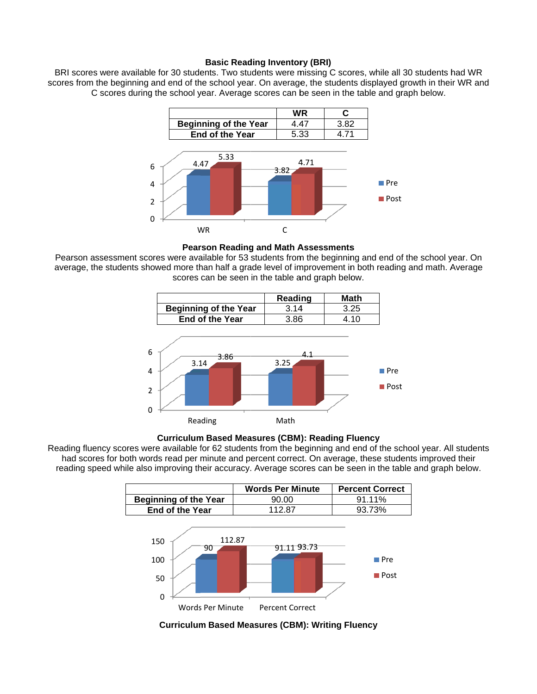#### **Basic Reading Inventory (BRI)**

scores from the beginning and end of the school year. On average, the students displayed growth in their WR and BRI scores were available for 30 students. Two students were missing C scores, while all 30 students h C scores during the school year. Average scores can be seen in the table and graph below. l 30 students had WR<br>growth in their WR an<br>graph below.<br>t<br>t<br>f



**Pearson Reading and Math Assessments** 

Pearson assessment scores were available for 53 students from the beginning and end of the school year. On average, the students showed more than half a grade level of improvement in both reading and math. Average scores can be seen in the table and graph below.





Reading fluency scores were available for 62 students from the beginning and end of the school year. All students had scores for both words read per minute and percent correct. On average, these students improved their reading speed while also improving their accuracy. Average scores can be seen in the table and graph below.

|                                                           | <b>Words Per Minute</b>        | <b>Percent Correct</b>                    |
|-----------------------------------------------------------|--------------------------------|-------------------------------------------|
| <b>Beginning of the Year</b>                              | 90.00                          | 91.11%                                    |
| End of the Year                                           | 112.87                         | 93.73%                                    |
| 112.87<br>150<br>90<br>100<br>50<br>0<br>Words Per Minute | 91.11 93.73<br>Percent Correct | $\blacksquare$ Pre<br>$\blacksquare$ Post |

**Curriculum Based Measures (CBM): Writing Fluency**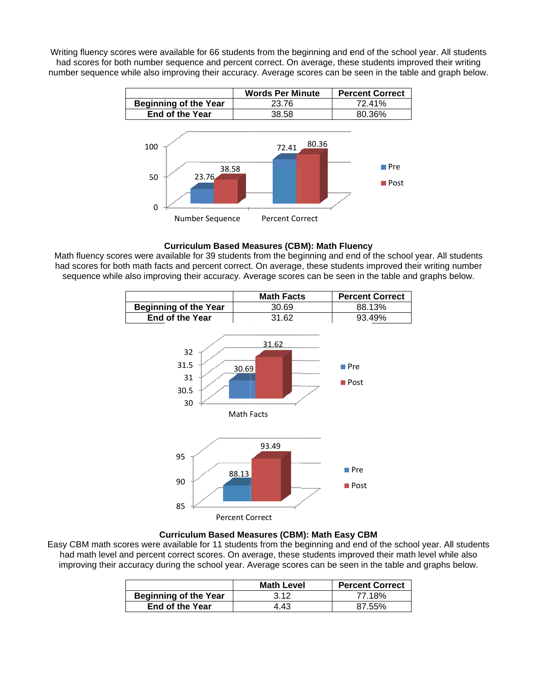number sequence while also improving their accuracy. Average scores can be seen in the table and graph below. Writing fluency scores were available for 66 students from the beginning and end of the school year. All students had scores for both number sequence and percent correct. On average, these students improved their writing



#### **Curriculum Based Measures (CBM): Math Fluency**

Math fluency scores were available for 39 students from the beginning and end of the school year. All students had scores for both math facts and percent correct. On average, these students improved their writing number sequence while also improving their accuracy. Average scores can be seen in the table and graphs below.



#### **Curriculum Based Measures (CBM): Math Easy CBM**

Easy CBM math scores were available for 11 students from the beginning and end of the school year. All students had math level and percent correct scores. On average, these students improved their math level while also improving their accuracy during the school year. Average scores can be seen in the table and graphs below.

|                              | <b>Math Level</b> | <b>Percent Correct</b> |
|------------------------------|-------------------|------------------------|
| <b>Beginning of the Year</b> | 3.12              | 77.18%                 |
| <b>End of the Year</b>       | 4.43              | 87 55%                 |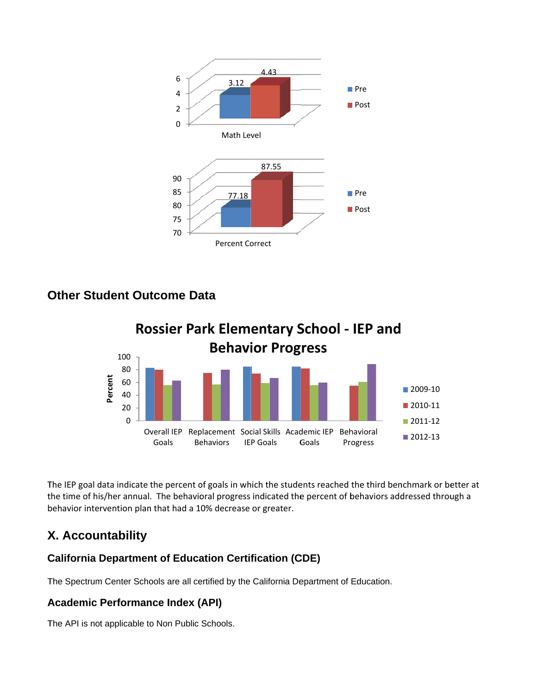

## **Other Student Outcome Data**



The IEP goal data indicate the percent of goals in which the students reached the third benchmark or better at the time of his/her annual. The behavioral progress indicated the percent of behaviors addressed through a behavior intervention plan that had a 10% decrease or greater.

## X. Accountability

## **California Department of Education Certification (CDE)**

The Spectrum Center Schools are all certified by the California Department of Education.

## **Academic Performance Index (API)**

The API is not applicable to Non Public Schools.